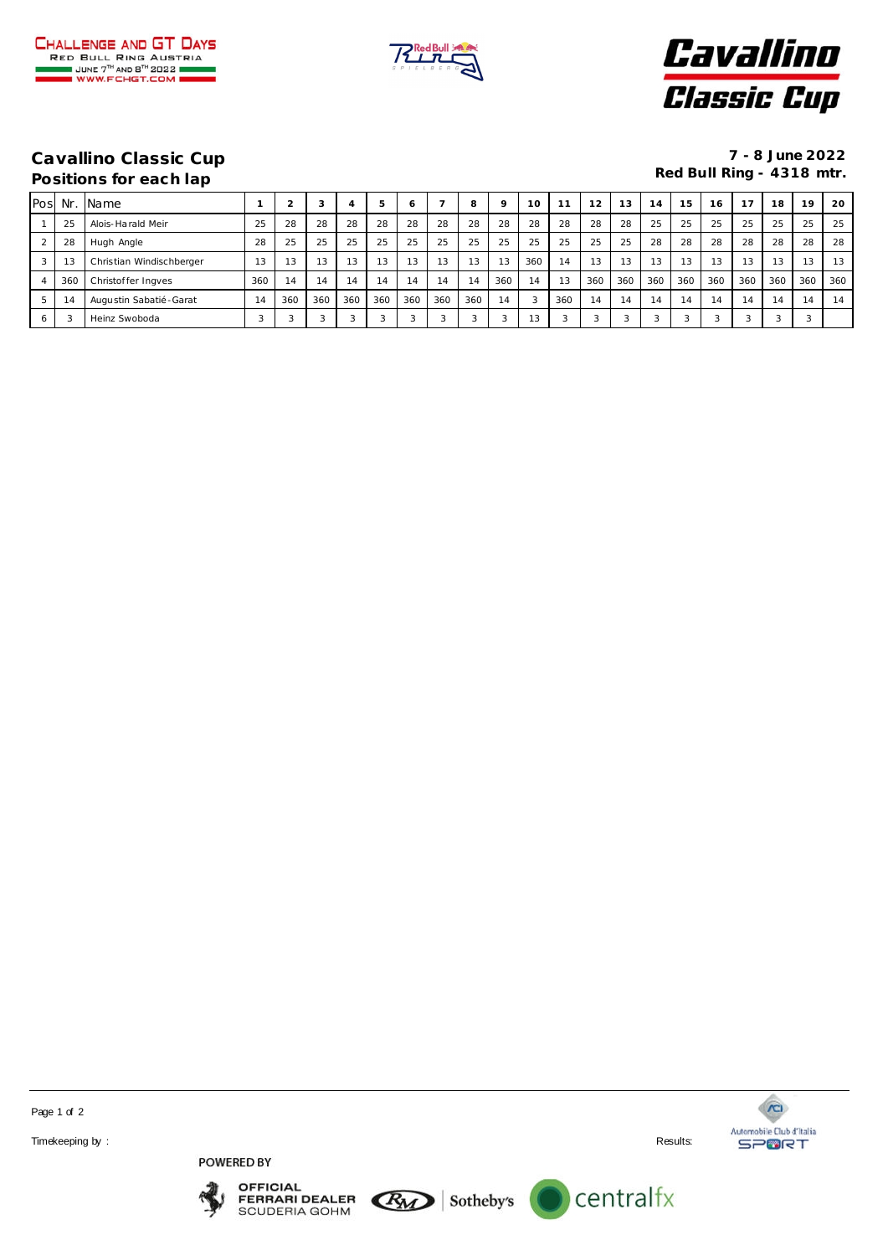





## **Positions for each lap**

**Cavallino Classic Cup 7 - 8 June 2022**

| Pos | Nr  | Name                     |     |     |     |         |                | ō      |        | 8              |     | 10  | 11  | 12  | 13         | 14  | 15  | 16  | 17  | 18  | 19     | 20  |
|-----|-----|--------------------------|-----|-----|-----|---------|----------------|--------|--------|----------------|-----|-----|-----|-----|------------|-----|-----|-----|-----|-----|--------|-----|
|     | 25  | Alois-Harald Meir        | 25  | 28  | 28  | 28      | 28             | 28     | 28     | 28             | 28  | 28  | 28  | 28  | 28         | 25  | 25  | 25  | 25  | 25  | 25     | 25  |
|     | 28  | Hugh Angle               | 28  | 25  | 25  | 25      | 25             | 25     | 25     | 25             | 25  | 25  | 25  | 25  | 25         | 28  | 28  | 28  | 28  | 28  | 28     | 28  |
|     | 13  | Christian Windischberger | 13  | 13  | 13  | 13      | 13             | 13     | 13     | 13             | 13  | 360 | 14  | 13  | 13         | 13  | 13  | 13  | 13  | 13  | 13     | 13  |
|     | 360 | Christoffer Ingves       | 360 | 14  | 14  | A<br>14 | 14             | 14     | 14     | 14             | 360 | 14  | 13  | 360 | 360        | 360 | 360 | 360 | 360 | 360 | 360    | 360 |
| b.  | 14  | Augustin Sabatié - Garat | 14  | 360 | 360 | 360     | 360            | 360    | 360    | 360            | 14  | 3   | 360 | 14  | 14         | 14  | 14  | 14  | 14  | 14  | 14     | 14  |
| 6   |     | Heinz Swoboda            |     |     |     |         | $\overline{ }$ | $\sim$ | $\sim$ | $\overline{ }$ |     |     | 3   |     | $\sqrt{2}$ |     | ာ   | 3   |     |     | $\sim$ |     |